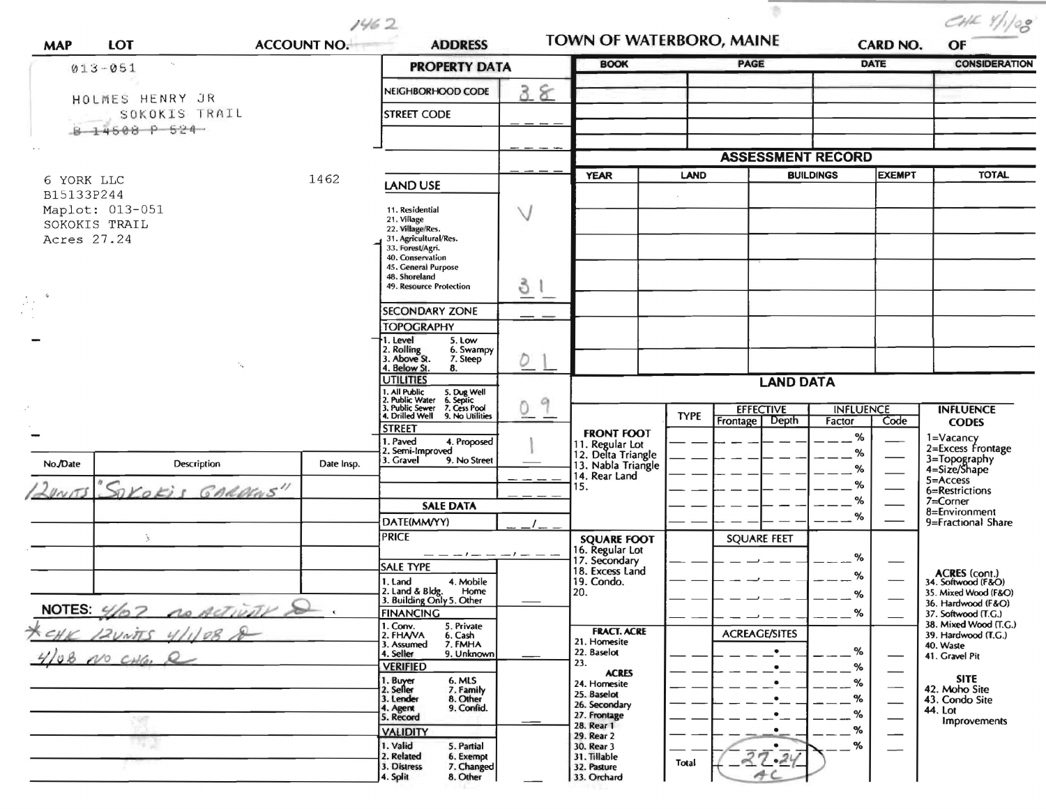$1462$ 

 $\sim$ 

 $\sim$ 

 $\begin{array}{c} \hbox{CHK} \ \text{Y}/\text{1/08} \end{array}$ 

| <b>MAP</b>                                          | <b>LOT</b>                       | <b>ACCOUNT NO.</b>                                                    | <b>ADDRESS</b>                                                                         |        | TOWN OF WATERBORO, MAINE                                   |                          |                                              | <b>CARD NO.</b>            |                                           | OF                                                          |  |
|-----------------------------------------------------|----------------------------------|-----------------------------------------------------------------------|----------------------------------------------------------------------------------------|--------|------------------------------------------------------------|--------------------------|----------------------------------------------|----------------------------|-------------------------------------------|-------------------------------------------------------------|--|
| $013 - 051$                                         |                                  |                                                                       | <b>PROPERTY DATA</b>                                                                   |        | <b>BOOK</b>                                                |                          | PAGE                                         |                            | <b>DATE</b>                               | <b>CONSIDERATION</b>                                        |  |
|                                                     |                                  |                                                                       | NEIGHBORHOOD CODE                                                                      | 38     |                                                            |                          |                                              |                            |                                           |                                                             |  |
|                                                     | HOLMES HENRY JR<br>SOKOKIS TRAIL |                                                                       | STREET CODE                                                                            |        |                                                            |                          |                                              |                            |                                           |                                                             |  |
|                                                     | 8 14508 P 524                    |                                                                       |                                                                                        |        |                                                            |                          |                                              |                            |                                           |                                                             |  |
|                                                     |                                  |                                                                       |                                                                                        |        |                                                            | <b>ASSESSMENT RECORD</b> |                                              |                            |                                           |                                                             |  |
| 1462<br>6 YORK LLC<br>B15133P244<br>Maplot: 013-051 |                                  |                                                                       | <b>LAND USE</b>                                                                        |        | <b>YEAR</b>                                                | LAND                     |                                              | <b>BUILDINGS</b>           | <b>EXEMPT</b>                             | <b>TOTAL</b>                                                |  |
|                                                     |                                  |                                                                       | 11. Residential                                                                        | $\vee$ |                                                            |                          |                                              |                            |                                           |                                                             |  |
|                                                     | SOKOKIS TRAIL                    |                                                                       | 21. Village<br>22. Village/Res.<br>31. Agricultural/Res.                               |        |                                                            |                          |                                              |                            |                                           |                                                             |  |
| Acres 27.24                                         |                                  |                                                                       | 33. Forest/Agri.<br>40. Conservation                                                   |        |                                                            |                          |                                              |                            |                                           |                                                             |  |
|                                                     |                                  |                                                                       | 45. General Purpose<br>48. Shoreland<br><b>49. Resource Protection</b>                 |        |                                                            |                          |                                              |                            |                                           |                                                             |  |
|                                                     |                                  |                                                                       |                                                                                        | 3.     |                                                            |                          |                                              |                            |                                           |                                                             |  |
|                                                     |                                  |                                                                       | <b>SECONDARY ZONE</b><br><b>TOPOGRAPHY</b>                                             |        |                                                            |                          |                                              |                            |                                           |                                                             |  |
|                                                     |                                  |                                                                       | 1. Level<br>5. Low<br>2. Rolling<br>3. Above St.<br>6. Swampy                          |        |                                                            |                          |                                              |                            |                                           |                                                             |  |
|                                                     |                                  |                                                                       | 7. Steep<br>4. Below St.<br>8.<br><b>UTILITIES</b>                                     | D      |                                                            |                          |                                              |                            |                                           |                                                             |  |
|                                                     |                                  |                                                                       | 1. All Public 5. Dug Well<br>2. Public Water 6. Septic<br>3. Public Sewer 7. Cess Pool | 9      |                                                            | <b>LAND DATA</b>         |                                              |                            |                                           |                                                             |  |
|                                                     |                                  |                                                                       | 4. Drilled Well 9. No Utilities                                                        | 0      |                                                            | <b>TYPE</b>              | <b>EFFECTIVE</b><br><b>Frontage</b><br>Depth | <b>INFLUENCE</b><br>Factor | Code                                      | <b>INFLUENCE</b><br><b>CODES</b>                            |  |
|                                                     |                                  |                                                                       | <b>STREET</b><br>. Paved<br>4. Proposed<br>. Semi-Improved                             |        | <b>FRONT FOOT</b><br>11. Regular Lot<br>12. Delta Triangle |                          |                                              | %                          |                                           | 1=Vacancy<br>2=Excess Frontage                              |  |
| No./Date                                            | Description                      | Date Insp.                                                            | 3. Gravel<br>9. No Street                                                              |        | 13. Nabla Triangle                                         |                          |                                              | %<br>%                     |                                           | 3=Topography<br>4=Size/Shape                                |  |
| 20015                                               | "SOKOKIS GARDENS"                |                                                                       |                                                                                        |        | 14. Rear Land<br>15.                                       |                          |                                              | %                          |                                           | 5=Access<br>6=Restrictions                                  |  |
|                                                     |                                  |                                                                       | <b>SALE DATA</b>                                                                       |        |                                                            |                          |                                              | %<br>%                     |                                           | 7=Corner<br>8=Environment                                   |  |
|                                                     | Ą.                               |                                                                       | DATE(MM/YY)<br><b>PRICE</b>                                                            |        | <b>SQUARE FOOT</b>                                         |                          | <b>SQUARE FEET</b>                           |                            |                                           | 9=Fractional Share                                          |  |
|                                                     |                                  |                                                                       | $-- -1-- -1--$<br><b>SALE TYPE</b>                                                     |        | 16. Regular Lot<br>17. Secondary                           |                          |                                              | %                          |                                           |                                                             |  |
|                                                     |                                  |                                                                       | 1. Land<br>4. Mobile<br>Home                                                           |        | 18. Excess Land<br>19. Condo.<br>20.                       |                          |                                              | %                          |                                           | ACRES (cont.)<br>34. Softwood (F&O)<br>35. Mixed Wood (F&O) |  |
| NOTES 4/07 no Activity                              |                                  | 2. Land & Bldg. Home<br>3. Building Only 5. Other<br><b>FINANCING</b> |                                                                                        |        |                                                            |                          | %<br>%                                       |                            | 36. Hardwood (F&O)<br>37. Softwood (T.G.) |                                                             |  |
| KCHK 12UNTS 4/1/08 &                                |                                  |                                                                       | 1. Conv.<br>5. Private<br>2. FHAVA<br>6. Cash                                          |        | <b>FRACT. ACRE</b>                                         |                          | <b>ACREAGE/SITES</b>                         |                            |                                           | 38. Mixed Wood (T.G.)<br>39. Hardwood (T.G.)                |  |
| $10800$ CHG, R                                      |                                  |                                                                       | 7. FMHA<br>3. Assumed<br>9. Unknown<br>4. Seller                                       |        | 21. Homesite<br>22. Baselot<br>23.                         |                          | $\bullet$                                    | %                          |                                           | 40. Waste<br>41. Gravel Pit                                 |  |
|                                                     |                                  |                                                                       | <b>VERIFIED</b><br>1. Buyer                                                            |        | <b>ACRES</b><br>24. Homesite                               |                          | $\bullet$<br>$\bullet$                       | %<br>%                     |                                           | <b>SITE</b>                                                 |  |
|                                                     |                                  |                                                                       | 6. MLS<br>7. Family<br>8. Other<br>2. Seller<br>3. Lender<br>9. Confid.<br>4. Agent    |        | 25. Baselot<br>26. Secondary                               |                          |                                              | %                          |                                           | 42. Moho Site<br>43. Condo Site<br>44. Lot                  |  |
|                                                     |                                  |                                                                       | 5. Record<br><b>VALIDITY</b>                                                           |        | 27. Frontage<br>28. Rear 1                                 |                          | $\bullet$<br>$\bullet$                       | %<br>%                     |                                           | Improvements                                                |  |
|                                                     |                                  |                                                                       | 1. Valid<br>5. Partial<br>2. Related<br>6. Exempt                                      |        | 29. Rear 2<br>30. Rear 3<br>31. Tillable                   |                          | $-$<br>$\bullet$                             | %                          |                                           |                                                             |  |
|                                                     |                                  |                                                                       | 3. Distress<br>7. Changed<br>4. Split<br>8. Other                                      |        | 32. Pasture<br>33. Orchard                                 | Total                    | 37.24<br>AC                                  |                            |                                           |                                                             |  |